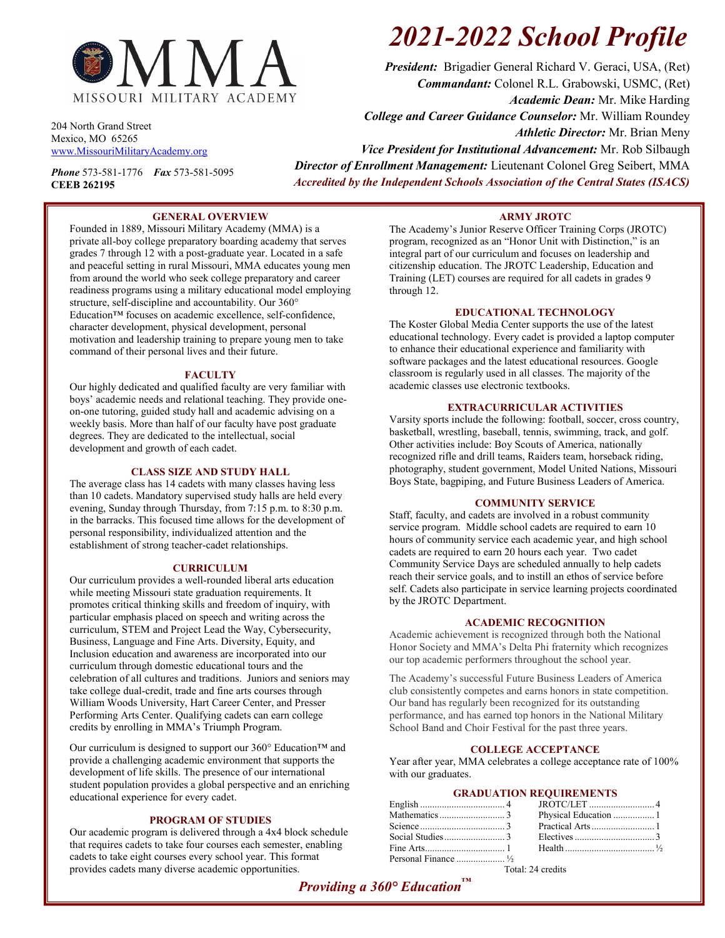

204 North Grand Street Mexico, MO 65265 [www.MissouriMilitaryAcademy.org](http://www.missourimilitaryacademy.org/)

*Phone* 573-581-1776 *Fax* 573-581-5095 **CEEB 262195**

# *2021-2022 School Profile*

*President:* Brigadier General Richard V. Geraci, USA, (Ret) *Commandant:* Colonel R.L. Grabowski, USMC, (Ret) *Academic Dean:* Mr. Mike Harding *College and Career Guidance Counselor:* Mr. William Roundey *Athletic Director:* Mr. Brian Meny *Vice President for Institutional Advancement:* Mr. Rob Silbaugh *Director of Enrollment Management:* Lieutenant Colonel Greg Seibert, MMA *Accredited by the Independent Schools Association of the Central States (ISACS)*

#### **GENERAL OVERVIEW**

Founded in 1889, Missouri Military Academy (MMA) is a private all-boy college preparatory boarding academy that serves grades 7 through 12 with a post-graduate year. Located in a safe and peaceful setting in rural Missouri, MMA educates young men from around the world who seek college preparatory and career readiness programs using a military educational model employing structure, self-discipline and accountability. Our 360° Education™ focuses on academic excellence, self-confidence, character development, physical development, personal motivation and leadership training to prepare young men to take command of their personal lives and their future.

#### **FACULTY**

Our highly dedicated and qualified faculty are very familiar with boys' academic needs and relational teaching. They provide oneon-one tutoring, guided study hall and academic advising on a weekly basis. More than half of our faculty have post graduate degrees. They are dedicated to the intellectual, social development and growth of each cadet.

#### **CLASS SIZE AND STUDY HALL**

The average class has 14 cadets with many classes having less than 10 cadets. Mandatory supervised study halls are held every evening, Sunday through Thursday, from 7:15 p.m. to 8:30 p.m. in the barracks. This focused time allows for the development of personal responsibility, individualized attention and the establishment of strong teacher-cadet relationships.

#### **CURRICULUM**

Our curriculum provides a well-rounded liberal arts education while meeting Missouri state graduation requirements. It promotes critical thinking skills and freedom of inquiry, with particular emphasis placed on speech and writing across the curriculum, STEM and Project Lead the Way, Cybersecurity, Business, Language and Fine Arts. Diversity, Equity, and Inclusion education and awareness are incorporated into our curriculum through domestic educational tours and the celebration of all cultures and traditions. Juniors and seniors may take college dual-credit, trade and fine arts courses through William Woods University, Hart Career Center, and Presser Performing Arts Center. Qualifying cadets can earn college credits by enrolling in MMA's Triumph Program.

Our curriculum is designed to support our 360° Education™ and provide a challenging academic environment that supports the development of life skills. The presence of our international student population provides a global perspective and an enriching educational experience for every cadet.

#### **PROGRAM OF STUDIES**

Our academic program is delivered through a 4x4 block schedule that requires cadets to take four courses each semester, enabling cadets to take eight courses every school year. This format provides cadets many diverse academic opportunities.

#### **ARMY JROTC**

The Academy's Junior Reserve Officer Training Corps (JROTC) program, recognized as an "Honor Unit with Distinction," is an integral part of our curriculum and focuses on leadership and citizenship education. The JROTC Leadership, Education and Training (LET) courses are required for all cadets in grades 9 through 12.

#### **EDUCATIONAL TECHNOLOGY**

The Koster Global Media Center supports the use of the latest educational technology. Every cadet is provided a laptop computer to enhance their educational experience and familiarity with software packages and the latest educational resources. Google classroom is regularly used in all classes. The majority of the academic classes use electronic textbooks.

#### **EXTRACURRICULAR ACTIVITIES**

Varsity sports include the following: football, soccer, cross country, basketball, wrestling, baseball, tennis, swimming, track, and golf. Other activities include: Boy Scouts of America, nationally recognized rifle and drill teams, Raiders team, horseback riding, photography, student government, Model United Nations, Missouri Boys State, bagpiping, and Future Business Leaders of America.

#### **COMMUNITY SERVICE**

Staff, faculty, and cadets are involved in a robust community service program. Middle school cadets are required to earn 10 hours of community service each academic year, and high school cadets are required to earn 20 hours each year. Two cadet Community Service Days are scheduled annually to help cadets reach their service goals, and to instill an ethos of service before self. Cadets also participate in service learning projects coordinated by the JROTC Department.

#### **ACADEMIC RECOGNITION**

Academic achievement is recognized through both the National Honor Society and MMA's Delta Phi fraternity which recognizes our top academic performers throughout the school year.

The Academy's successful Future Business Leaders of America club consistently competes and earns honors in state competition. Our band has regularly been recognized for its outstanding performance, and has earned top honors in the National Military School Band and Choir Festival for the past three years.

#### **COLLEGE ACCEPTANCE**

Year after year, MMA celebrates a college acceptance rate of 100% with our graduates.

#### **GRADUATION REQUIREMENTS**

Total: 24 credits

### *Providing a 360° Education™*